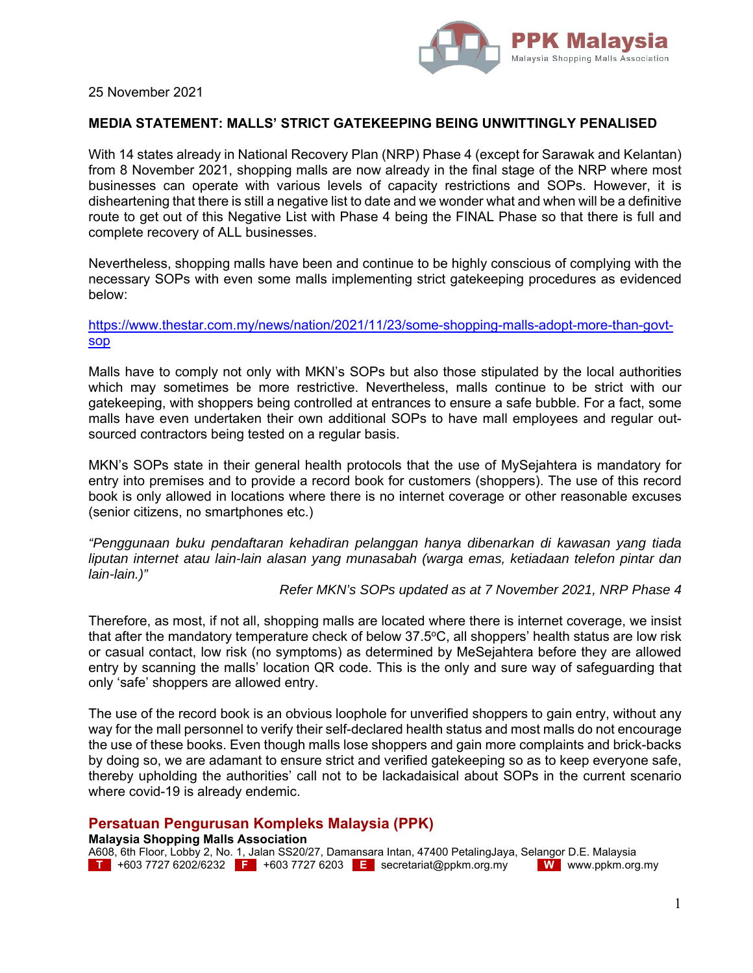

25 November 2021

### **MEDIA STATEMENT: MALLS' STRICT GATEKEEPING BEING UNWITTINGLY PENALISED**

With 14 states already in National Recovery Plan (NRP) Phase 4 (except for Sarawak and Kelantan) from 8 November 2021, shopping malls are now already in the final stage of the NRP where most businesses can operate with various levels of capacity restrictions and SOPs. However, it is disheartening that there is still a negative list to date and we wonder what and when will be a definitive route to get out of this Negative List with Phase 4 being the FINAL Phase so that there is full and complete recovery of ALL businesses.

Nevertheless, shopping malls have been and continue to be highly conscious of complying with the necessary SOPs with even some malls implementing strict gatekeeping procedures as evidenced below:

# https://www.thestar.com.my/news/nation/2021/11/23/some-shopping-malls-adopt-more-than-govtsop

Malls have to comply not only with MKN's SOPs but also those stipulated by the local authorities which may sometimes be more restrictive. Nevertheless, malls continue to be strict with our gatekeeping, with shoppers being controlled at entrances to ensure a safe bubble. For a fact, some malls have even undertaken their own additional SOPs to have mall employees and regular outsourced contractors being tested on a regular basis.

MKN's SOPs state in their general health protocols that the use of MySejahtera is mandatory for entry into premises and to provide a record book for customers (shoppers). The use of this record book is only allowed in locations where there is no internet coverage or other reasonable excuses (senior citizens, no smartphones etc.)

*"Penggunaan buku pendaftaran kehadiran pelanggan hanya dibenarkan di kawasan yang tiada liputan internet atau lain-lain alasan yang munasabah (warga emas, ketiadaan telefon pintar dan lain-lain.)"* 

#### *Refer MKN's SOPs updated as at 7 November 2021, NRP Phase 4*

Therefore, as most, if not all, shopping malls are located where there is internet coverage, we insist that after the mandatory temperature check of below  $37.5^{\circ}$ C, all shoppers' health status are low risk or casual contact, low risk (no symptoms) as determined by MeSejahtera before they are allowed entry by scanning the malls' location QR code. This is the only and sure way of safeguarding that only 'safe' shoppers are allowed entry.

The use of the record book is an obvious loophole for unverified shoppers to gain entry, without any way for the mall personnel to verify their self-declared health status and most malls do not encourage the use of these books. Even though malls lose shoppers and gain more complaints and brick-backs by doing so, we are adamant to ensure strict and verified gatekeeping so as to keep everyone safe, thereby upholding the authorities' call not to be lackadaisical about SOPs in the current scenario where covid-19 is already endemic.

## **Persatuan Pengurusan Kompleks Malaysia (PPK)**

### **Malaysia Shopping Malls Association**

A608, 6th Floor, Lobby 2, No. 1, Jalan SS20/27, Damansara Intan, 47400 PetalingJaya, Selangor D.E. Malaysia **T** +603 7727 6202/6232 **F** +603 7727 6203 **E** secretariat@ppkm.org.my **W** www.ppkm.org.my